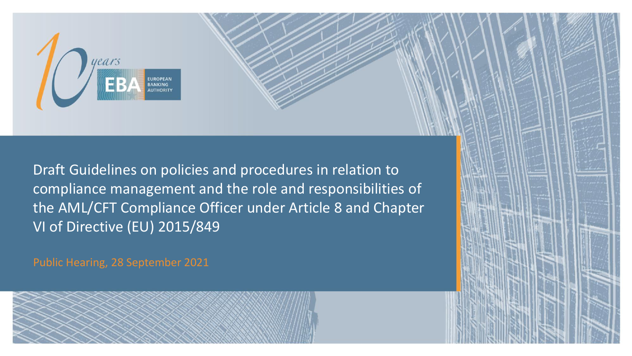

Draft Guidelines on policies and procedures in relation to compliance management and the role and responsibilities of the AML/CFT Compliance Officer under Article 8 and Chapter VI of Directive (EU) 2015/849

Public Hearing, 28 September 2021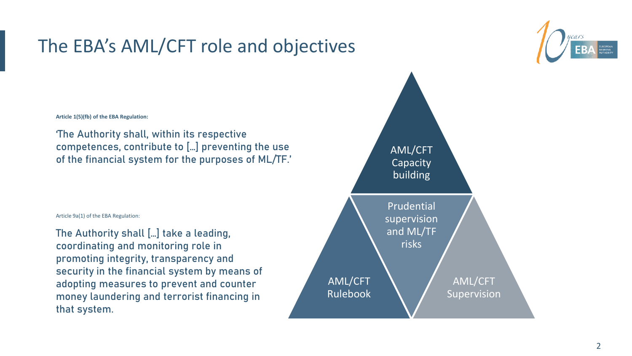#### The EBA's AML/CFT role and objectives



**Article 1(5)(fb) of the EBA Regulation:**

'The Authority shall, within its respective competences, contribute to […] preventing the use of the financial system for the purposes of ML/TF.'

Article 9a(1) of the EBA Regulation:

The Authority shall […] take a leading, coordinating and monitoring role in promoting integrity, transparency and security in the financial system by means of adopting measures to prevent and counter money laundering and terrorist financing in that system.

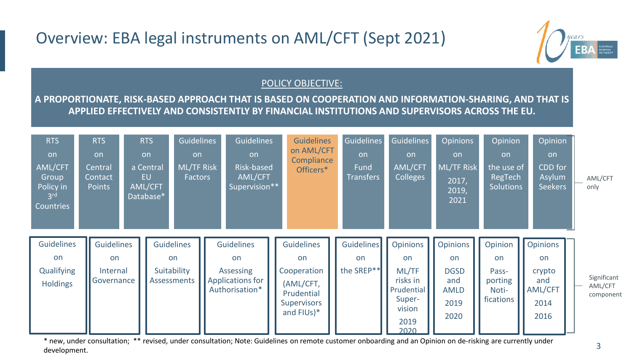#### Overview: EBA legal instruments on AML/CFT (Sept 2021)



#### POLICY OBJECTIVE:

**A PROPORTIONATE, RISK-BASED APPROACH THAT IS BASED ON COOPERATION AND INFORMATION-SHARING, AND THAT IS APPLIED EFFECTIVELY AND CONSISTENTLY BY FINANCIAL INSTITUTIONS AND SUPERVISORS ACROSS THE EU.**

| <b>RTS</b><br>on<br>AML/CFT<br>Group<br>Policy in<br>3 <sup>rd</sup><br>Countries | RTS<br>on<br>Central<br>Contact<br><b>Points</b> |                                      | RTS<br>on<br>a Central<br>EU<br>AML/CFT<br>Database* | <b>Guidelines</b><br>on<br><b>ML/TF Risk</b><br>Factors |  | <b>Guidelines</b><br>on<br>Risk-based<br>AML/CFT<br>Supervision**          |  | <b>Guidelines</b><br>on AML/CFT<br>Compliance<br>Officers*                                     |  | Guidelines<br>on<br><b>Fund</b><br><b>Transfers</b> | Guidelines<br><b>on</b><br><b>AML/CFT</b><br><b>Colleges</b>                          | <b>Opinions</b><br>on<br>ML/TF Risk<br>2017,<br>2019,<br>2021              | Opinion<br>on<br>the use of<br>RegTech<br><b>Solutions</b> | Opinion<br>on<br>CDD for<br>Asylum<br><b>Seekers</b>              | AML/CFT<br>only                     |
|-----------------------------------------------------------------------------------|--------------------------------------------------|--------------------------------------|------------------------------------------------------|---------------------------------------------------------|--|----------------------------------------------------------------------------|--|------------------------------------------------------------------------------------------------|--|-----------------------------------------------------|---------------------------------------------------------------------------------------|----------------------------------------------------------------------------|------------------------------------------------------------|-------------------------------------------------------------------|-------------------------------------|
| <b>Guidelines</b><br>on<br>Qualifying<br><b>Holdings</b>                          | on                                               | Guidelines<br>Internal<br>Governance |                                                      | Guidelines<br>on<br>Suitability<br><b>Assessments</b>   |  | <b>Guidelines</b><br>on<br>Assessing<br>Applications for<br>Authorisation* |  | Guidelines<br>on<br>Cooperation<br>(AML/CFT,<br>Prudential<br><b>Supervisors</b><br>and FIUs)* |  | Guidelines<br>on<br>the SREP <sup>**</sup>          | Opinions<br>on<br>ML/TF<br>risks in<br>Prudential<br>Super-<br>vision<br>2019<br>2020 | <b>Opinions</b><br>on<br><b>DGSD</b><br>and<br><b>AMLD</b><br>2019<br>2020 | Opinion<br>on<br>Pass-<br>porting<br>Noti-<br>fications    | Opinions<br><b>on</b><br>crypto<br>and<br>AML/CFT<br>2014<br>2016 | Significant<br>AML/CFT<br>component |

\* new, under consultation; \*\* revised, under consultation; Note: Guidelines on remote customer onboarding and an Opinion on de-risking are currently under development.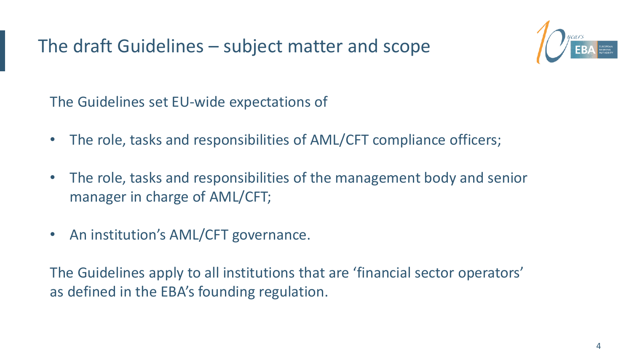The draft Guidelines – subject matter and scope



The Guidelines set EU-wide expectations of

- The role, tasks and responsibilities of AML/CFT compliance officers;
- The role, tasks and responsibilities of the management body and senior manager in charge of AML/CFT;
- An institution's AML/CFT governance.

The Guidelines apply to all institutions that are 'financial sector operators' as defined in the EBA's founding regulation.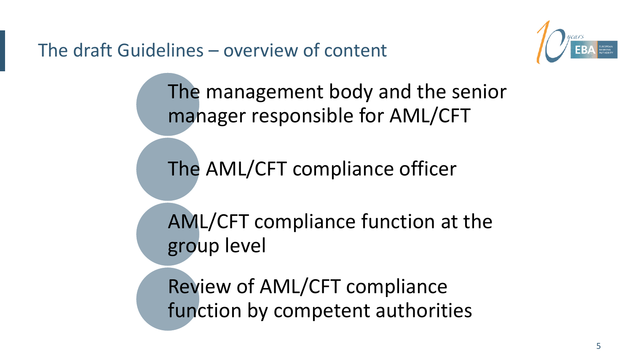The draft Guidelines – overview of content



The management body and the senior manager responsible for AML/CFT

The AML/CFT compliance officer

AML/CFT compliance function at the group level

Review of AML/CFT compliance function by competent authorities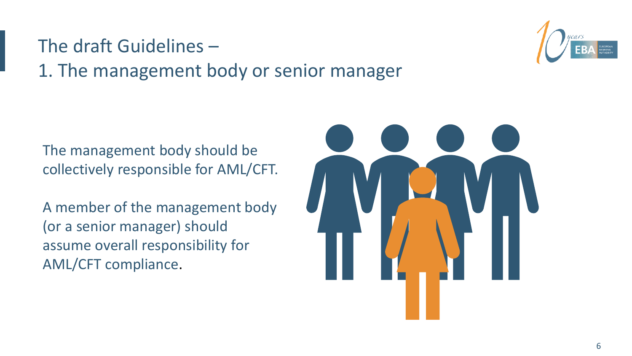#### The draft Guidelines – 1. The management body or senior manager

The management body should be collectively responsible for AML/CFT.

A member of the management body (or a senior manager) should assume overall responsibility for AML/CFT compliance.



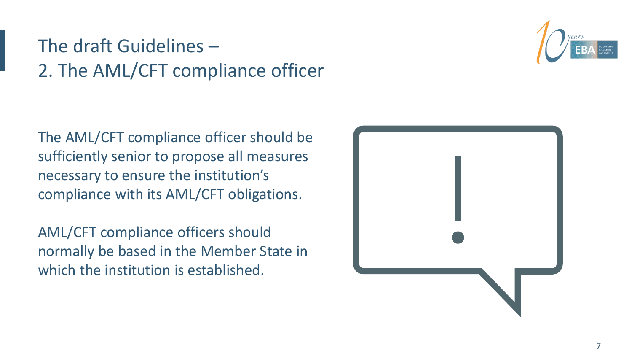## The draft Guidelines – 2. The AML/CFT compliance officer

The AML/CFT compliance officer should be sufficiently senior to propose all measures necessary to ensure the institution's compliance with its AML/CFT obligations.

AML/CFT compliance officers should normally be based in the Member State in which the institution is established.

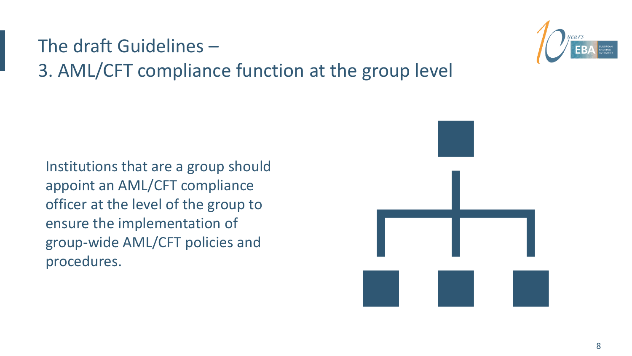### The draft Guidelines – 3. AML/CFT compliance function at the group level

Institutions that are a group should appoint an AML/CFT compliance officer at the level of the group to ensure the implementation of group-wide AML/CFT policies and procedures.



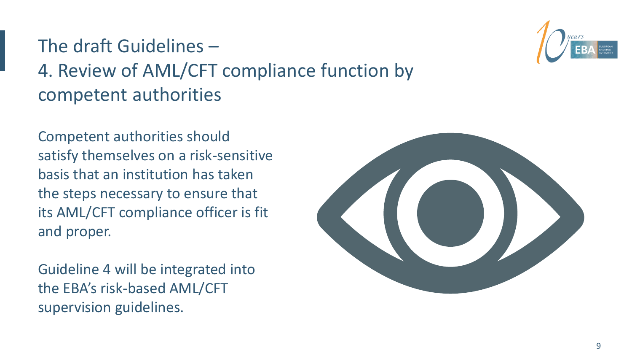## The draft Guidelines – 4. Review of AML/CFT compliance function by competent authorities

Competent authorities should satisfy themselves on a risk-sensitive basis that an institution has taken the steps necessary to ensure that its AML/CFT compliance officer is fit and proper.

Guideline 4 will be integrated into the EBA's risk-based AML/CFT supervision guidelines.



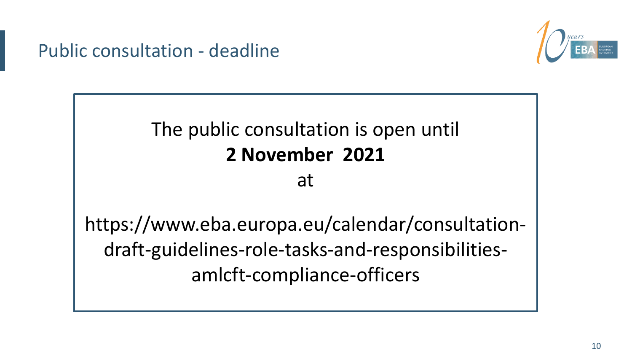Public consultation - deadline



# The public consultation is open until **2 November 2021**

#### at

https://www.eba.europa.eu/calendar/consultationdraft-guidelines-role-tasks-and-responsibilitiesamlcft-compliance-officers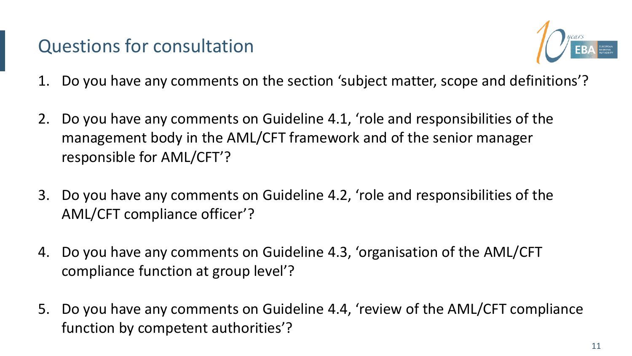#### Questions for consultation



- 1. Do you have any comments on the section 'subject matter, scope and definitions'?
- 2. Do you have any comments on Guideline 4.1, 'role and responsibilities of the management body in the AML/CFT framework and of the senior manager responsible for AML/CFT'?
- 3. Do you have any comments on Guideline 4.2, 'role and responsibilities of the AML/CFT compliance officer'?
- 4. Do you have any comments on Guideline 4.3, 'organisation of the AML/CFT compliance function at group level'?
- 5. Do you have any comments on Guideline 4.4, 'review of the AML/CFT compliance function by competent authorities'?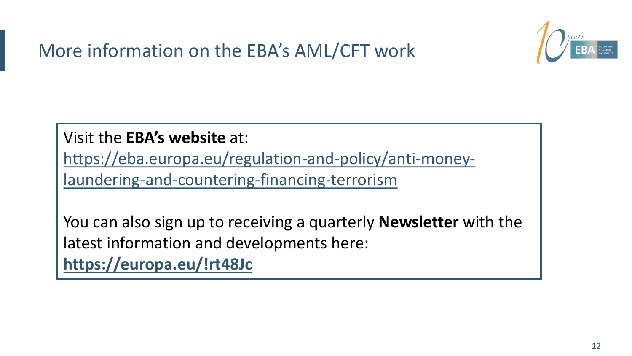



Visit the **EBA's website** at:

[https://eba.europa.eu/regulation-and-policy/anti-money](https://eba.europa.eu/regulation-and-policy/anti-money-laundering-and-countering-financing-terrorism)laundering-and-countering-financing-terrorism

You can also sign up to receiving a quarterly **Newsletter** with the latest information and developments here: **<https://europa.eu/!rt48Jc>**